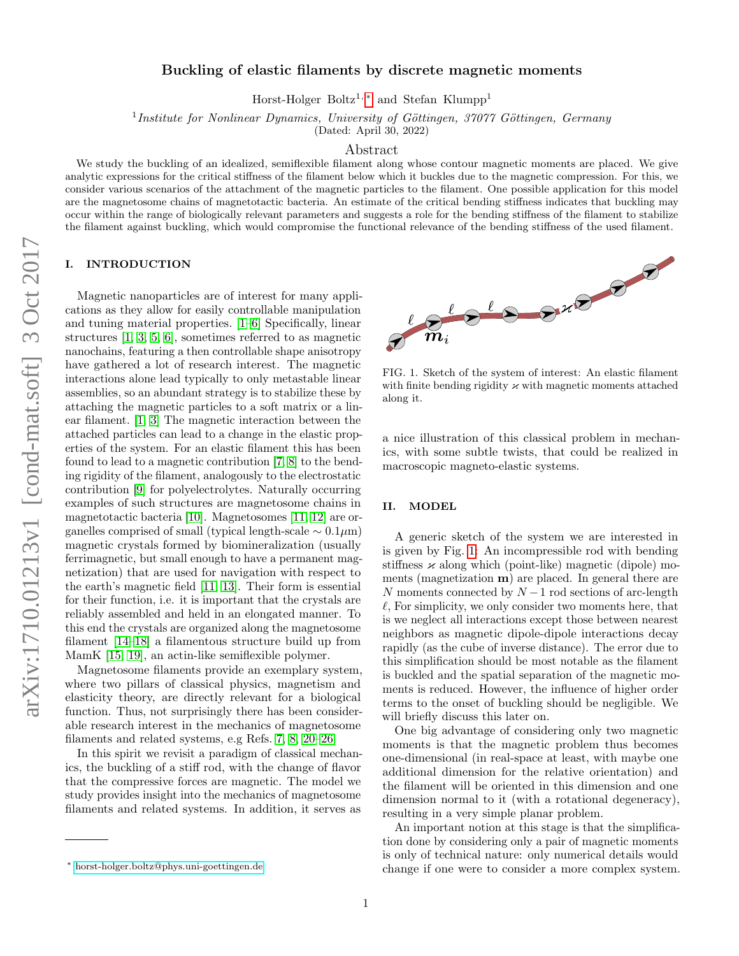# Buckling of elastic filaments by discrete magnetic moments

Horst-Holger Boltz<sup>1,\*</sup> and Stefan Klumpp<sup>1</sup>

<sup>1</sup>Institute for Nonlinear Dynamics, University of Göttingen, 37077 Göttingen, Germany

(Dated: April 30, 2022)

## Abstract

We study the buckling of an idealized, semiflexible filament along whose contour magnetic moments are placed. We give analytic expressions for the critical stiffness of the filament below which it buckles due to the magnetic compression. For this, we consider various scenarios of the attachment of the magnetic particles to the filament. One possible application for this model are the magnetosome chains of magnetotactic bacteria. An estimate of the critical bending stiffness indicates that buckling may occur within the range of biologically relevant parameters and suggests a role for the bending stiffness of the filament to stabilize the filament against buckling, which would compromise the functional relevance of the bending stiffness of the used filament.

## I. INTRODUCTION

Magnetic nanoparticles are of interest for many applications as they allow for easily controllable manipulation and tuning material properties. [\[1–](#page-5-0)[6\]](#page-5-1) Specifically, linear structures [\[1,](#page-5-0) [3,](#page-5-2) [5,](#page-5-3) [6\]](#page-5-1), sometimes referred to as magnetic nanochains, featuring a then controllable shape anisotropy have gathered a lot of research interest. The magnetic interactions alone lead typically to only metastable linear assemblies, so an abundant strategy is to stabilize these by attaching the magnetic particles to a soft matrix or a linear filament. [\[1,](#page-5-0) [3\]](#page-5-2) The magnetic interaction between the attached particles can lead to a change in the elastic properties of the system. For an elastic filament this has been found to lead to a magnetic contribution [\[7,](#page-5-4) [8\]](#page-5-5) to the bending rigidity of the filament, analogously to the electrostatic contribution [\[9\]](#page-5-6) for polyelectrolytes. Naturally occurring examples of such structures are magnetosome chains in magnetotactic bacteria [\[10\]](#page-5-7). Magnetosomes [\[11,](#page-5-8) [12\]](#page-5-9) are organelles comprised of small (typical length-scale  $\sim 0.1 \mu m$ ) magnetic crystals formed by biomineralization (usually ferrimagnetic, but small enough to have a permanent magnetization) that are used for navigation with respect to the earth's magnetic field [\[11,](#page-5-8) [13\]](#page-5-10). Their form is essential for their function, i.e. it is important that the crystals are reliably assembled and held in an elongated manner. To this end the crystals are organized along the magnetosome filament [\[14–](#page-5-11)[18\]](#page-5-12) a filamentous structure build up from MamK [\[15,](#page-5-13) [19\]](#page-5-14), an actin-like semiflexible polymer.

Magnetosome filaments provide an exemplary system, where two pillars of classical physics, magnetism and elasticity theory, are directly relevant for a biological function. Thus, not surprisingly there has been considerable research interest in the mechanics of magnetosome filaments and related systems, e.g Refs. [7,](#page-5-4) [8,](#page-5-5) [20–](#page-5-15)[26.](#page-5-16)

In this spirit we revisit a paradigm of classical mechanics, the buckling of a stiff rod, with the change of flavor that the compressive forces are magnetic. The model we study provides insight into the mechanics of magnetosome filaments and related systems. In addition, it serves as



<span id="page-0-1"></span>FIG. 1. Sketch of the system of interest: An elastic filament with finite bending rigidity  $\varkappa$  with magnetic moments attached along it.

a nice illustration of this classical problem in mechanics, with some subtle twists, that could be realized in macroscopic magneto-elastic systems.

# II. MODEL

A generic sketch of the system we are interested in is given by Fig. [1:](#page-0-1) An incompressible rod with bending stiffness  $\varkappa$  along which (point-like) magnetic (dipole) moments (magnetization m) are placed. In general there are N moments connected by  $N-1$  rod sections of arc-length  $\ell$ , For simplicity, we only consider two moments here, that is we neglect all interactions except those between nearest neighbors as magnetic dipole-dipole interactions decay rapidly (as the cube of inverse distance). The error due to this simplification should be most notable as the filament is buckled and the spatial separation of the magnetic moments is reduced. However, the influence of higher order terms to the onset of buckling should be negligible. We will briefly discuss this later on.

One big advantage of considering only two magnetic moments is that the magnetic problem thus becomes one-dimensional (in real-space at least, with maybe one additional dimension for the relative orientation) and the filament will be oriented in this dimension and one dimension normal to it (with a rotational degeneracy), resulting in a very simple planar problem.

An important notion at this stage is that the simplification done by considering only a pair of magnetic moments is only of technical nature: only numerical details would change if one were to consider a more complex system.

<span id="page-0-0"></span><sup>∗</sup> [horst-holger.boltz@phys.uni-goettingen.de](mailto:horst-holger.boltz@phys.uni-goettingen.de)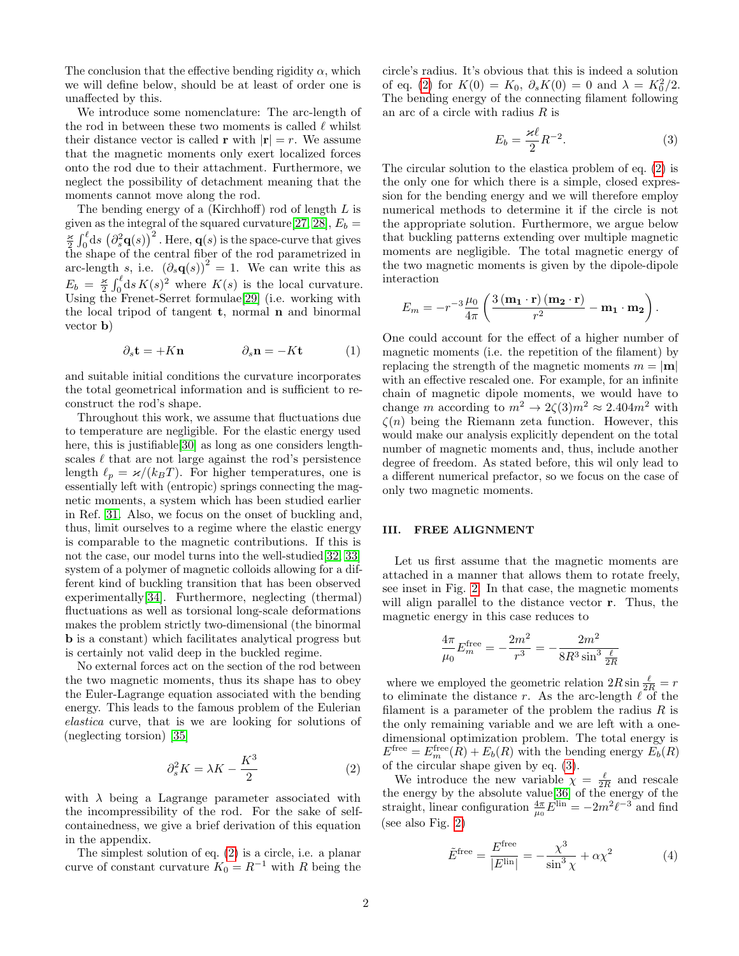The conclusion that the effective bending rigidity  $\alpha$ , which we will define below, should be at least of order one is unaffected by this.

We introduce some nomenclature: The arc-length of the rod in between these two moments is called  $\ell$  whilst their distance vector is called **r** with  $|\mathbf{r}| = r$ . We assume that the magnetic moments only exert localized forces onto the rod due to their attachment. Furthermore, we neglect the possibility of detachment meaning that the moments cannot move along the rod.

The bending energy of a (Kirchhoff) rod of length L is given as the integral of the squared curvature [\[27,](#page-5-17) [28\]](#page-5-18),  $E_b =$ <br> $\frac{\kappa}{\hbar} \int_{-b}^{b} 1_{\lambda} (2^2 \kappa(s))^2$ . Here  $\kappa(s)$  is the group curve that gives  $\frac{\varkappa}{2}\int_0^\ell\!\mathrm{d}s\,\left(\partial_s^2{\bf q}(s)\right)^2.$  Here,  ${\bf q}(s)$  is the space-curve that gives the shape of the central fiber of the rod parametrized in arc-length s, i.e.  $(\partial_s \mathbf{q}(s))^2 = 1$ . We can write this as  $E_b = \frac{\varkappa}{2}$  $\frac{\varkappa}{2} \int_0^{\ell} ds K(s)^2$  where  $K(s)$  is the local curvature. Using the Frenet-Serret formulae[\[29\]](#page-5-19) (i.e. working with the local tripod of tangent  $t$ , normal  $n$  and binormal vector b)

$$
\partial_s \mathbf{t} = +K \mathbf{n} \qquad \partial_s \mathbf{n} = -K \mathbf{t} \qquad (1)
$$

and suitable initial conditions the curvature incorporates the total geometrical information and is sufficient to reconstruct the rod's shape.

Throughout this work, we assume that fluctuations due to temperature are negligible. For the elastic energy used here, this is justifiable [\[30\]](#page-5-20) as long as one considers lengthscales  $\ell$  that are not large against the rod's persistence length  $\ell_p = \varkappa/(k_BT)$ . For higher temperatures, one is essentially left with (entropic) springs connecting the magnetic moments, a system which has been studied earlier in Ref. [31.](#page-5-21) Also, we focus on the onset of buckling and, thus, limit ourselves to a regime where the elastic energy is comparable to the magnetic contributions. If this is not the case, our model turns into the well-studied[\[32,](#page-5-22) [33\]](#page-5-23) system of a polymer of magnetic colloids allowing for a different kind of buckling transition that has been observed experimentally[\[34\]](#page-5-24). Furthermore, neglecting (thermal) fluctuations as well as torsional long-scale deformations makes the problem strictly two-dimensional (the binormal b is a constant) which facilitates analytical progress but is certainly not valid deep in the buckled regime.

No external forces act on the section of the rod between the two magnetic moments, thus its shape has to obey the Euler-Lagrange equation associated with the bending energy. This leads to the famous problem of the Eulerian elastica curve, that is we are looking for solutions of (neglecting torsion) [\[35\]](#page-5-25)

$$
\partial_s^2 K = \lambda K - \frac{K^3}{2} \tag{2}
$$

with  $\lambda$  being a Lagrange parameter associated with the incompressibility of the rod. For the sake of selfcontainedness, we give a brief derivation of this equation in the appendix.

The simplest solution of eq. [\(2\)](#page-1-0) is a circle, i.e. a planar curve of constant curvature  $K_0 = R^{-1}$  with R being the circle's radius. It's obvious that this is indeed a solution of eq. [\(2\)](#page-1-0) for  $K(0) = K_0$ ,  $\partial_s K(0) = 0$  and  $\lambda = K_0^2/2$ . The bending energy of the connecting filament following an arc of a circle with radius  $R$  is

<span id="page-1-1"></span>
$$
E_b = \frac{\varkappa \ell}{2} R^{-2}.
$$
 (3)

The circular solution to the elastica problem of eq. [\(2\)](#page-1-0) is the only one for which there is a simple, closed expression for the bending energy and we will therefore employ numerical methods to determine it if the circle is not the appropriate solution. Furthermore, we argue below that buckling patterns extending over multiple magnetic moments are negligible. The total magnetic energy of the two magnetic moments is given by the dipole-dipole interaction

$$
E_m = -r^{-3}\frac{\mu_0}{4\pi} \left( \frac{3\left(\mathbf{m_1}\cdot\mathbf{r}\right)\left(\mathbf{m_2}\cdot\mathbf{r}\right)}{r^2} - \mathbf{m_1}\cdot\mathbf{m_2} \right).
$$

<span id="page-1-3"></span>One could account for the effect of a higher number of magnetic moments (i.e. the repetition of the filament) by replacing the strength of the magnetic moments  $m = |m|$ with an effective rescaled one. For example, for an infinite chain of magnetic dipole moments, we would have to change m according to  $m^2 \to 2\zeta(3)m^2 \approx 2.404m^2$  with  $\zeta(n)$  being the Riemann zeta function. However, this would make our analysis explicitly dependent on the total number of magnetic moments and, thus, include another degree of freedom. As stated before, this wil only lead to a different numerical prefactor, so we focus on the case of only two magnetic moments.

#### III. FREE ALIGNMENT

Let us first assume that the magnetic moments are attached in a manner that allows them to rotate freely, see inset in Fig. [2.](#page-2-0) In that case, the magnetic moments will align parallel to the distance vector **r**. Thus, the magnetic energy in this case reduces to

$$
\frac{4\pi}{\mu_0} E_m^{\text{free}} = -\frac{2m^2}{r^3} = -\frac{2m^2}{8R^3 \sin^3 \frac{\ell}{2R}}
$$

where we employed the geometric relation  $2R \sin \frac{\ell}{2R} = r$ to eliminate the distance r. As the arc-length  $\ell$  of the filament is a parameter of the problem the radius  $R$  is the only remaining variable and we are left with a onedimensional optimization problem. The total energy is  $E^{\text{free}} = E^{\text{free}}_{m}(R) + E_{b}(R)$  with the bending energy  $E_{b}(R)$ of the circular shape given by eq. [\(3\)](#page-1-1).

<span id="page-1-0"></span>We introduce the new variable  $\chi = \frac{\ell}{2R}$  and rescale the energy by the absolute value[\[36\]](#page-5-26) of the energy of the straight, linear configuration  $\frac{4\pi}{\mu_0} E^{\text{lin}} = -2m^2 \ell^{-3}$  and find (see also Fig. [2\)](#page-2-0)

<span id="page-1-2"></span>
$$
\tilde{E}^{\text{free}} = \frac{E^{\text{free}}}{|E^{\text{lin}}|} = -\frac{\chi^3}{\sin^3 \chi} + \alpha \chi^2 \tag{4}
$$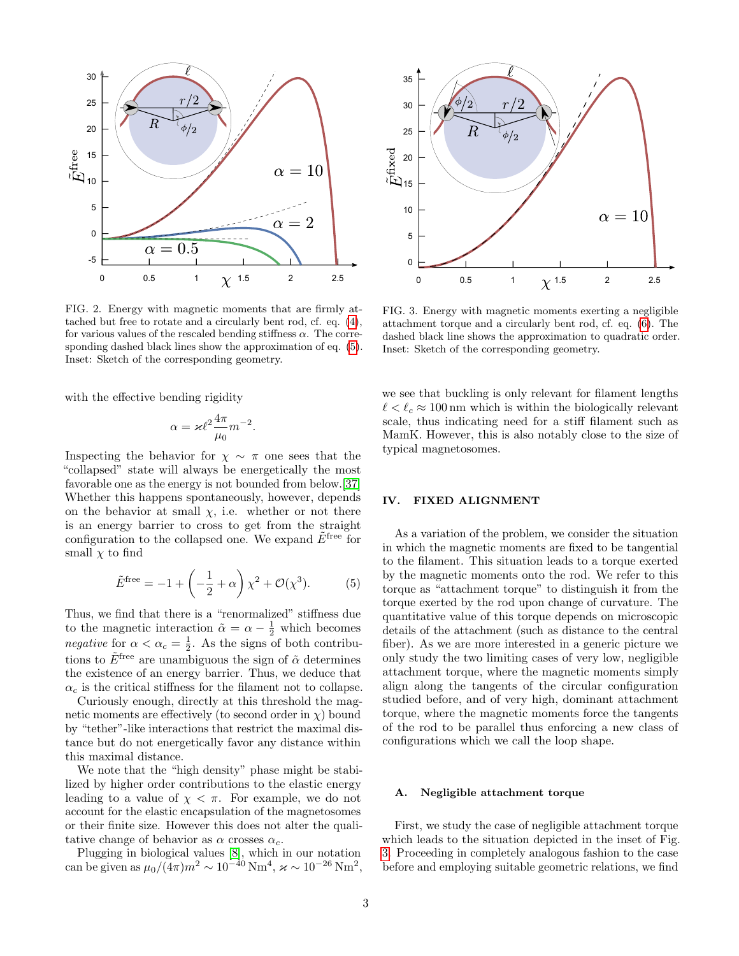

<span id="page-2-0"></span>FIG. 2. Energy with magnetic moments that are firmly attached but free to rotate and a circularly bent rod, cf. eq. [\(4\)](#page-1-2), for various values of the rescaled bending stiffness  $\alpha$ . The corresponding dashed black lines show the approximation of eq. [\(5\)](#page-2-1). Inset: Sketch of the corresponding geometry.

with the effective bending rigidity

$$
\alpha = \varkappa \ell^2 \frac{4\pi}{\mu_0} m^{-2}.
$$

Inspecting the behavior for  $\chi \sim \pi$  one sees that the "collapsed" state will always be energetically the most favorable one as the energy is not bounded from below.[\[37\]](#page-5-27) Whether this happens spontaneously, however, depends on the behavior at small  $\chi$ , i.e. whether or not there is an energy barrier to cross to get from the straight configuration to the collapsed one. We expand  $\tilde{E}^{\text{free}}$  for small  $\chi$  to find

$$
\tilde{E}^{\text{free}} = -1 + \left(-\frac{1}{2} + \alpha\right)\chi^2 + \mathcal{O}(\chi^3). \tag{5}
$$

Thus, we find that there is a "renormalized" stiffness due to the magnetic interaction  $\tilde{\alpha} = \alpha - \frac{1}{2}$  which becomes *negative* for  $\alpha < \alpha_c = \frac{1}{2}$ . As the signs of both contributions to  $\tilde{E}^{\text{free}}$  are unambiguous the sign of  $\tilde{\alpha}$  determines the existence of an energy barrier. Thus, we deduce that  $\alpha_c$  is the critical stiffness for the filament not to collapse.

Curiously enough, directly at this threshold the magnetic moments are effectively (to second order in  $\chi$ ) bound by "tether"-like interactions that restrict the maximal distance but do not energetically favor any distance within this maximal distance.

We note that the "high density" phase might be stabilized by higher order contributions to the elastic energy leading to a value of  $\chi < \pi$ . For example, we do not account for the elastic encapsulation of the magnetosomes or their finite size. However this does not alter the qualitative change of behavior as  $\alpha$  crosses  $\alpha_c$ .

Plugging in biological values [\[8\]](#page-5-5), which in our notation can be given as  $\mu_0/(4\pi) m^2 \sim 10^{-40} \, \mathrm{Nm^4}, \, \varkappa \sim 10^{-26} \, \mathrm{Nm^2},$ 



<span id="page-2-2"></span>FIG. 3. Energy with magnetic moments exerting a negligible attachment torque and a circularly bent rod, cf. eq. [\(6\)](#page-3-0). The dashed black line shows the approximation to quadratic order. Inset: Sketch of the corresponding geometry.

we see that buckling is only relevant for filament lengths  $\ell < \ell_c \approx 100$  nm which is within the biologically relevant scale, thus indicating need for a stiff filament such as MamK. However, this is also notably close to the size of typical magnetosomes.

# IV. FIXED ALIGNMENT

<span id="page-2-1"></span>As a variation of the problem, we consider the situation in which the magnetic moments are fixed to be tangential to the filament. This situation leads to a torque exerted by the magnetic moments onto the rod. We refer to this torque as "attachment torque" to distinguish it from the torque exerted by the rod upon change of curvature. The quantitative value of this torque depends on microscopic details of the attachment (such as distance to the central fiber). As we are more interested in a generic picture we only study the two limiting cases of very low, negligible attachment torque, where the magnetic moments simply align along the tangents of the circular configuration studied before, and of very high, dominant attachment torque, where the magnetic moments force the tangents of the rod to be parallel thus enforcing a new class of configurations which we call the loop shape.

#### A. Negligible attachment torque

First, we study the case of negligible attachment torque which leads to the situation depicted in the inset of Fig. [3.](#page-2-2) Proceeding in completely analogous fashion to the case before and employing suitable geometric relations, we find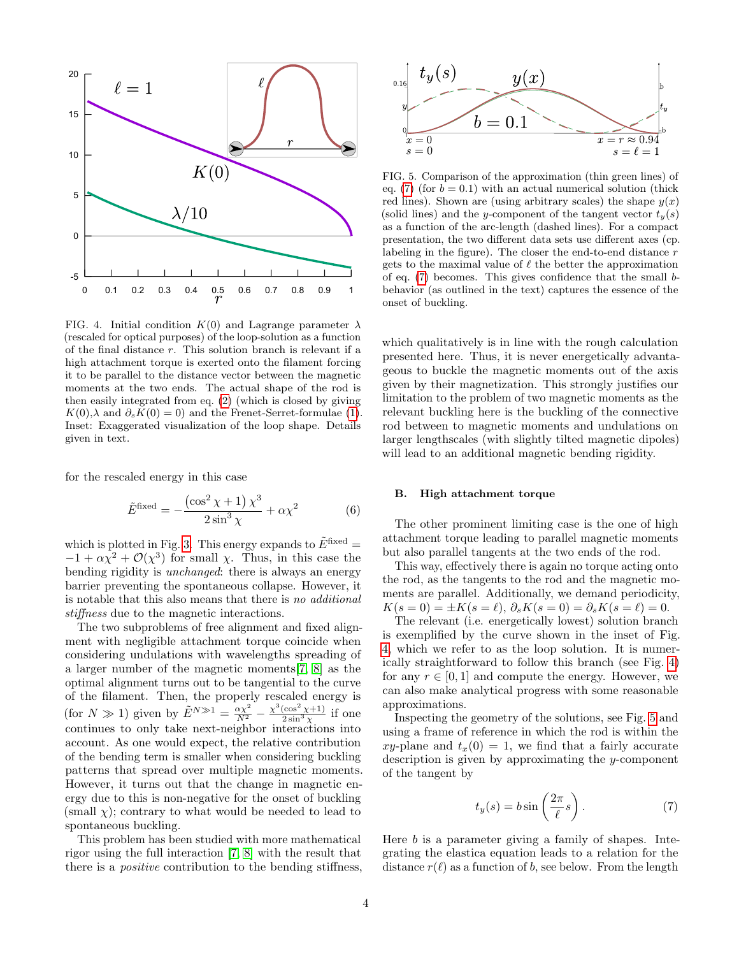

<span id="page-3-2"></span>FIG. 4. Initial condition  $K(0)$  and Lagrange parameter  $\lambda$ (rescaled for optical purposes) of the loop-solution as a function of the final distance r. This solution branch is relevant if a high attachment torque is exerted onto the filament forcing it to be parallel to the distance vector between the magnetic moments at the two ends. The actual shape of the rod is then easily integrated from eq. [\(2\)](#page-1-0) (which is closed by giving  $K(0),\lambda$  and  $\partial_s K(0) = 0$  and the Frenet-Serret-formulae [\(1\)](#page-1-3). Inset: Exaggerated visualization of the loop shape. Details given in text.

for the rescaled energy in this case

$$
\tilde{E}^{\text{fixed}} = -\frac{\left(\cos^2 \chi + 1\right) \chi^3}{2\sin^3 \chi} + \alpha \chi^2 \tag{6}
$$

which is plotted in Fig. [3.](#page-2-2) This energy expands to  $\tilde{E}^{\rm fixed} =$  $-1 + \alpha \chi^2 + \mathcal{O}(\chi^3)$  for small  $\chi$ . Thus, in this case the bending rigidity is unchanged: there is always an energy barrier preventing the spontaneous collapse. However, it is notable that this also means that there is no additional stiffness due to the magnetic interactions.

The two subproblems of free alignment and fixed alignment with negligible attachment torque coincide when considering undulations with wavelengths spreading of a larger number of the magnetic moments[\[7,](#page-5-4) [8\]](#page-5-5) as the optimal alignment turns out to be tangential to the curve of the filament. Then, the properly rescaled energy is (for  $N \gg 1$ ) given by  $\tilde{E}^{N \gg 1} = \frac{\alpha \chi^2}{N^2} - \frac{\chi^3 (\cos^2 \chi + 1)}{2 \sin^3 \chi}$  $\frac{\cos^2 \chi + 1}{2 \sin^3 \chi}$  if one continues to only take next-neighbor interactions into account. As one would expect, the relative contribution of the bending term is smaller when considering buckling patterns that spread over multiple magnetic moments. However, it turns out that the change in magnetic energy due to this is non-negative for the onset of buckling (small  $\chi$ ); contrary to what would be needed to lead to spontaneous buckling.

This problem has been studied with more mathematical rigor using the full interaction [\[7,](#page-5-4) [8\]](#page-5-5) with the result that there is a *positive* contribution to the bending stiffness,



<span id="page-3-3"></span>FIG. 5. Comparison of the approximation (thin green lines) of eq. [\(7\)](#page-3-1) (for  $b = 0.1$ ) with an actual numerical solution (thick red lines). Shown are (using arbitrary scales) the shape  $y(x)$ (solid lines) and the y-component of the tangent vector  $t_y(s)$ as a function of the arc-length (dashed lines). For a compact presentation, the two different data sets use different axes (cp. labeling in the figure). The closer the end-to-end distance  $r$ gets to the maximal value of  $\ell$  the better the approximation of eq. [\(7\)](#page-3-1) becomes. This gives confidence that the small bbehavior (as outlined in the text) captures the essence of the onset of buckling.

which qualitatively is in line with the rough calculation presented here. Thus, it is never energetically advantageous to buckle the magnetic moments out of the axis given by their magnetization. This strongly justifies our limitation to the problem of two magnetic moments as the relevant buckling here is the buckling of the connective rod between to magnetic moments and undulations on larger lengthscales (with slightly tilted magnetic dipoles) will lead to an additional magnetic bending rigidity.

#### B. High attachment torque

<span id="page-3-0"></span>The other prominent limiting case is the one of high attachment torque leading to parallel magnetic moments but also parallel tangents at the two ends of the rod.

This way, effectively there is again no torque acting onto the rod, as the tangents to the rod and the magnetic moments are parallel. Additionally, we demand periodicity,  $K(s = 0) = \pm K(s = \ell), \, \partial_s K(s = 0) = \partial_s K(s = \ell) = 0.$ 

The relevant (i.e. energetically lowest) solution branch is exemplified by the curve shown in the inset of Fig. [4,](#page-3-2) which we refer to as the loop solution. It is numerically straightforward to follow this branch (see Fig. [4\)](#page-3-2) for any  $r \in [0, 1]$  and compute the energy. However, we can also make analytical progress with some reasonable approximations.

Inspecting the geometry of the solutions, see Fig. [5](#page-3-3) and using a frame of reference in which the rod is within the xy-plane and  $t_x(0) = 1$ , we find that a fairly accurate description is given by approximating the y-component of the tangent by

<span id="page-3-1"></span>
$$
t_y(s) = b \sin\left(\frac{2\pi}{\ell}s\right). \tag{7}
$$

Here b is a parameter giving a family of shapes. Integrating the elastica equation leads to a relation for the distance  $r(\ell)$  as a function of b, see below. From the length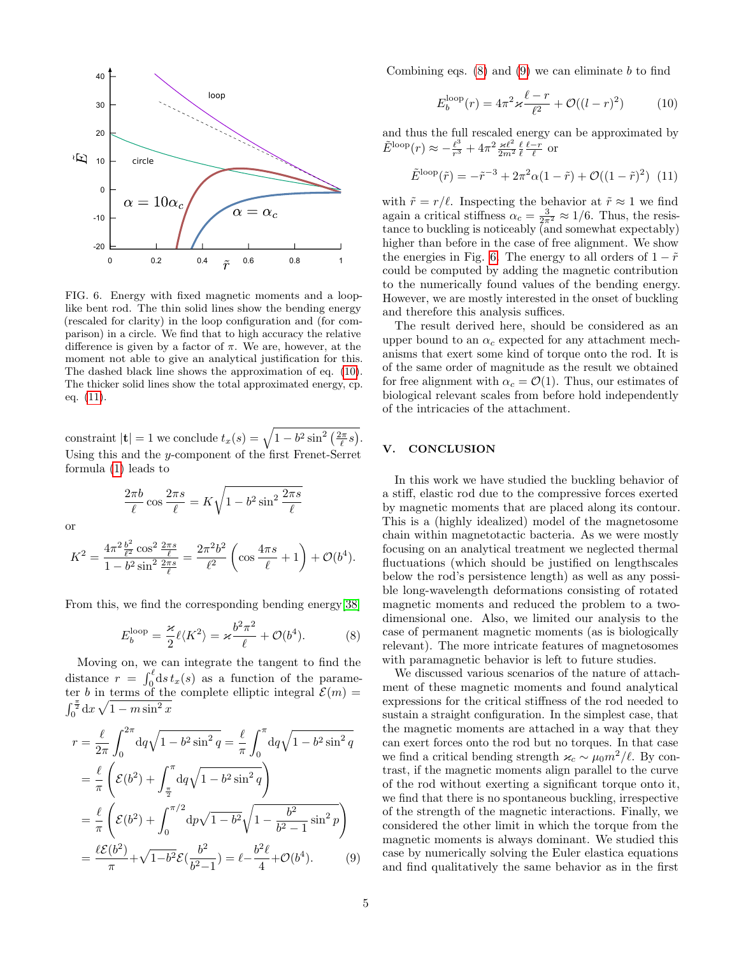

<span id="page-4-4"></span>FIG. 6. Energy with fixed magnetic moments and a looplike bent rod. The thin solid lines show the bending energy (rescaled for clarity) in the loop configuration and (for comparison) in a circle. We find that to high accuracy the relative difference is given by a factor of  $\pi$ . We are, however, at the moment not able to give an analytical justification for this. The dashed black line shows the approximation of eq. [\(10\)](#page-4-0). The thicker solid lines show the total approximated energy, cp. eq.  $(11)$ .

constraint  $|\mathbf{t}| = 1$  we conclude  $t_x(s) = \sqrt{1 - b^2 \sin^2(\frac{2\pi}{\ell}s)}$ . Using this and the y-component of the first Frenet-Serret formula [\(1\)](#page-1-3) leads to

$$
\frac{2\pi b}{\ell}\cos\frac{2\pi s}{\ell} = K\sqrt{1 - b^2\sin^2\frac{2\pi s}{\ell}}
$$

or

$$
K^{2} = \frac{4\pi^{2} \frac{b^{2}}{\ell^{2}} \cos^{2} \frac{2\pi s}{\ell}}{1 - b^{2} \sin^{2} \frac{2\pi s}{\ell}} = \frac{2\pi^{2} b^{2}}{\ell^{2}} \left( \cos \frac{4\pi s}{\ell} + 1 \right) + \mathcal{O}(b^{4}).
$$

From this, we find the corresponding bending energy[\[38\]](#page-5-28)

$$
E_b^{\text{loop}} = \frac{\varkappa}{2} \ell \langle K^2 \rangle = \varkappa \frac{b^2 \pi^2}{\ell} + \mathcal{O}(b^4). \tag{8}
$$

Moving on, we can integrate the tangent to find the distance  $r = \int_0^{\ell} ds \, t_x(s)$  as a function of the parameter b in terms of the complete elliptic integral  $\mathcal{E}(m) =$  $\int_0^{\frac{\pi}{2}} dx \sqrt{1 - m \sin^2 x}$ 

$$
r = \frac{\ell}{2\pi} \int_0^{2\pi} dq \sqrt{1 - b^2 \sin^2 q} = \frac{\ell}{\pi} \int_0^{\pi} dq \sqrt{1 - b^2 \sin^2 q}
$$
  
=  $\frac{\ell}{\pi} \left( \mathcal{E}(b^2) + \int_{\frac{\pi}{2}}^{\pi} dq \sqrt{1 - b^2 \sin^2 q} \right)$   
=  $\frac{\ell}{\pi} \left( \mathcal{E}(b^2) + \int_0^{\pi/2} dp \sqrt{1 - b^2} \sqrt{1 - \frac{b^2}{b^2 - 1} \sin^2 p} \right)$   
=  $\frac{\ell \mathcal{E}(b^2)}{\pi} + \sqrt{1 - b^2} \mathcal{E}(\frac{b^2}{b^2 - 1}) = \ell - \frac{b^2 \ell}{4} + \mathcal{O}(b^4).$  (9)

Combining eqs.  $(8)$  and  $(9)$  we can eliminate b to find

<span id="page-4-1"></span><span id="page-4-0"></span>
$$
E_b^{\text{loop}}(r) = 4\pi^2 \varkappa \frac{\ell - r}{\ell^2} + \mathcal{O}((l - r)^2)
$$
 (10)

and thus the full rescaled energy can be approximated by  $\tilde{E}^{\rm loop}(r) \approx -\frac{\ell^3}{r^3}$  $\frac{\ell^3}{r^3} + 4\pi^2 \frac{\varkappa \ell^2}{2m^2}$  $\frac{\varkappa \ell^2}{2m^2} \frac{\ell}{\ell} \frac{\ell-r}{\ell}$  or

$$
\tilde{E}^{\text{loop}}(\tilde{r}) = -\tilde{r}^{-3} + 2\pi^2 \alpha (1 - \tilde{r}) + \mathcal{O}((1 - \tilde{r})^2) \tag{11}
$$

with  $\tilde{r} = r/\ell$ . Inspecting the behavior at  $\tilde{r} \approx 1$  we find again a critical stiffness  $\alpha_c = \frac{3}{2\pi^2} \approx 1/6$ . Thus, the resistance to buckling is noticeably (and somewhat expectably) higher than before in the case of free alignment. We show the energies in Fig. [6.](#page-4-4) The energy to all orders of  $1 - \tilde{r}$ could be computed by adding the magnetic contribution to the numerically found values of the bending energy. However, we are mostly interested in the onset of buckling and therefore this analysis suffices.

The result derived here, should be considered as an upper bound to an  $\alpha_c$  expected for any attachment mechanisms that exert some kind of torque onto the rod. It is of the same order of magnitude as the result we obtained for free alignment with  $\alpha_c = \mathcal{O}(1)$ . Thus, our estimates of biological relevant scales from before hold independently of the intricacies of the attachment.

#### V. CONCLUSION

In this work we have studied the buckling behavior of a stiff, elastic rod due to the compressive forces exerted by magnetic moments that are placed along its contour. This is a (highly idealized) model of the magnetosome chain within magnetotactic bacteria. As we were mostly focusing on an analytical treatment we neglected thermal fluctuations (which should be justified on lengthscales below the rod's persistence length) as well as any possible long-wavelength deformations consisting of rotated magnetic moments and reduced the problem to a twodimensional one. Also, we limited our analysis to the case of permanent magnetic moments (as is biologically relevant). The more intricate features of magnetosomes with paramagnetic behavior is left to future studies.

<span id="page-4-3"></span><span id="page-4-2"></span>We discussed various scenarios of the nature of attachment of these magnetic moments and found analytical expressions for the critical stiffness of the rod needed to sustain a straight configuration. In the simplest case, that the magnetic moments are attached in a way that they can exert forces onto the rod but no torques. In that case we find a critical bending strength  $\varkappa_c \sim \mu_0 m^2/\ell$ . By contrast, if the magnetic moments align parallel to the curve of the rod without exerting a significant torque onto it, we find that there is no spontaneous buckling, irrespective of the strength of the magnetic interactions. Finally, we considered the other limit in which the torque from the magnetic moments is always dominant. We studied this case by numerically solving the Euler elastica equations and find qualitatively the same behavior as in the first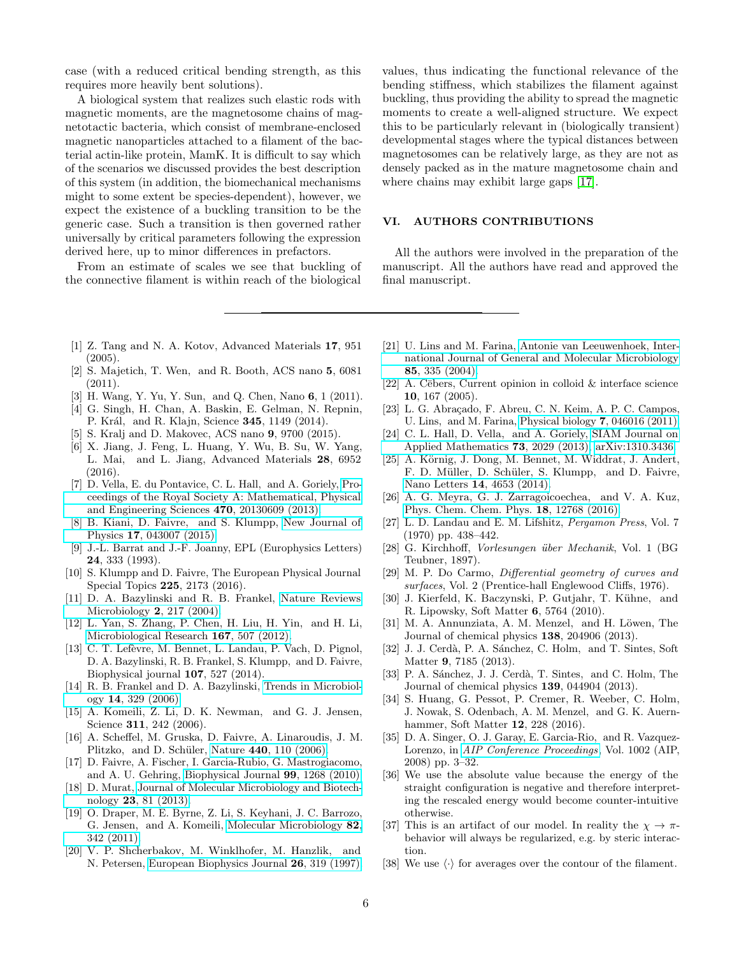case (with a reduced critical bending strength, as this requires more heavily bent solutions).

A biological system that realizes such elastic rods with magnetic moments, are the magnetosome chains of magnetotactic bacteria, which consist of membrane-enclosed magnetic nanoparticles attached to a filament of the bacterial actin-like protein, MamK. It is difficult to say which of the scenarios we discussed provides the best description of this system (in addition, the biomechanical mechanisms might to some extent be species-dependent), however, we expect the existence of a buckling transition to be the generic case. Such a transition is then governed rather universally by critical parameters following the expression derived here, up to minor differences in prefactors.

From an estimate of scales we see that buckling of the connective filament is within reach of the biological

values, thus indicating the functional relevance of the bending stiffness, which stabilizes the filament against buckling, thus providing the ability to spread the magnetic moments to create a well-aligned structure. We expect this to be particularly relevant in (biologically transient) developmental stages where the typical distances between magnetosomes can be relatively large, as they are not as densely packed as in the mature magnetosome chain and where chains may exhibit large gaps [\[17\]](#page-5-29).

## VI. AUTHORS CONTRIBUTIONS

All the authors were involved in the preparation of the manuscript. All the authors have read and approved the final manuscript.

- <span id="page-5-0"></span>[1] Z. Tang and N. A. Kotov, Advanced Materials 17, 951 (2005).
- [2] S. Majetich, T. Wen, and R. Booth, ACS nano 5, 6081 (2011).
- <span id="page-5-2"></span>[3] H. Wang, Y. Yu, Y. Sun, and Q. Chen, Nano 6, 1 (2011).
- [4] G. Singh, H. Chan, A. Baskin, E. Gelman, N. Repnin, P. Král, and R. Klajn, Science 345, 1149 (2014).
- <span id="page-5-3"></span>[5] S. Kralj and D. Makovec, ACS nano 9, 9700 (2015).
- <span id="page-5-1"></span>[6] X. Jiang, J. Feng, L. Huang, Y. Wu, B. Su, W. Yang, L. Mai, and L. Jiang, Advanced Materials 28, 6952 (2016).
- <span id="page-5-4"></span>[7] D. Vella, E. du Pontavice, C. L. Hall, and A. Goriely, [Pro](http://dx.doi.org/10.1098/rspa.2013.0609)[ceedings of the Royal Society A: Mathematical, Physical](http://dx.doi.org/10.1098/rspa.2013.0609) [and Engineering Sciences](http://dx.doi.org/10.1098/rspa.2013.0609) 470, 20130609 (2013).
- <span id="page-5-5"></span>[8] B. Kiani, D. Faivre, and S. Klumpp, [New Journal of](http://dx.doi.org/10.1088/1367-2630/17/4/043007) Physics 17[, 043007 \(2015\).](http://dx.doi.org/10.1088/1367-2630/17/4/043007)
- <span id="page-5-6"></span>[9] J.-L. Barrat and J.-F. Joanny, EPL (Europhysics Letters) 24, 333 (1993).
- <span id="page-5-7"></span>[10] S. Klumpp and D. Faivre, The European Physical Journal Special Topics 225, 2173 (2016).
- <span id="page-5-8"></span>[11] D. A. Bazylinski and R. B. Frankel, [Nature Reviews](http://dx.doi.org/10.1038/nrmicro842) [Microbiology](http://dx.doi.org/10.1038/nrmicro842) 2, 217 (2004).
- <span id="page-5-9"></span>[12] L. Yan, S. Zhang, P. Chen, H. Liu, H. Yin, and H. Li, [Microbiological Research](http://dx.doi.org/10.1016/j.micres.2012.04.002) 167, 507 (2012).
- <span id="page-5-10"></span>[13] C. T. Lefèvre, M. Bennet, L. Landau, P. Vach, D. Pignol, D. A. Bazylinski, R. B. Frankel, S. Klumpp, and D. Faivre, Biophysical journal 107, 527 (2014).
- <span id="page-5-11"></span>[14] R. B. Frankel and D. A. Bazylinski, [Trends in Microbiol](http://dx.doi.org/10.1016/j.tim.2006.06.004)ogy 14[, 329 \(2006\).](http://dx.doi.org/10.1016/j.tim.2006.06.004)
- <span id="page-5-13"></span>[15] A. Komeili, Z. Li, D. K. Newman, and G. J. Jensen, Science **311**, 242 (2006).
- [16] A. Scheffel, M. Gruska, D. Faivre, A. Linaroudis, J. M. Plitzko, and D. Schüler, Nature 440[, 110 \(2006\).](http://dx.doi.org/ 10.1038/nature04382)
- <span id="page-5-29"></span>[17] D. Faivre, A. Fischer, I. Garcia-Rubio, G. Mastrogiacomo, and A. U. Gehring, [Biophysical Journal](http://dx.doi.org/ 10.1016/j.bpj.2010.05.034) 99, 1268 (2010).
- <span id="page-5-12"></span>[18] D. Murat, [Journal of Molecular Microbiology and Biotech](http://dx.doi.org/10.1159/000346655)nology 23[, 81 \(2013\).](http://dx.doi.org/10.1159/000346655)
- <span id="page-5-14"></span>[19] O. Draper, M. E. Byrne, Z. Li, S. Keyhani, J. C. Barrozo, G. Jensen, and A. Komeili, [Molecular Microbiology](http://dx.doi.org/ 10.1111/j.1365-2958.2011.07815.x) 82, [342 \(2011\).](http://dx.doi.org/ 10.1111/j.1365-2958.2011.07815.x)
- <span id="page-5-15"></span>[20] V. P. Shcherbakov, M. Winklhofer, M. Hanzlik, and N. Petersen, [European Biophysics Journal](http://dx.doi.org/10.1007/s002490050086) 26, 319 (1997).
- [21] U. Lins and M. Farina, [Antonie van Leeuwenhoek, Inter](http://dx.doi.org/10.1023/B:ANTO.0000020393.71843.b0)[national Journal of General and Molecular Microbiology](http://dx.doi.org/10.1023/B:ANTO.0000020393.71843.b0) 85[, 335 \(2004\).](http://dx.doi.org/10.1023/B:ANTO.0000020393.71843.b0)
- [22] A. Cēbers, Current opinion in colloid & interface science 10, 167 (2005).
- [23] L. G. Abraçado, F. Abreu, C. N. Keim, A. P. C. Campos, U. Lins, and M. Farina, [Physical biology](http://dx.doi.org/ 10.1088/1478-3975/7/4/046016) 7, 046016 (2011).
- [24] C. L. Hall, D. Vella, and A. Goriely, [SIAM Journal on](http://dx.doi.org/10.1137/120897973) [Applied Mathematics](http://dx.doi.org/10.1137/120897973) 73, 2029 (2013), [arXiv:1310.3436.](http://arxiv.org/abs/1310.3436)
- [25] A. Körnig, J. Dong, M. Bennet, M. Widdrat, J. Andert, F. D. Müller, D. Schüler, S. Klumpp, and D. Faivre, Nano Letters 14[, 4653 \(2014\).](http://dx.doi.org/10.1021/nl5017267)
- <span id="page-5-16"></span>[26] A. G. Meyra, G. J. Zarragoicoechea, and V. A. Kuz, [Phys. Chem. Chem. Phys.](http://dx.doi.org/10.1039/C5CP07795H) 18, 12768 (2016).
- <span id="page-5-17"></span>[27] L. D. Landau and E. M. Lifshitz, Pergamon Press, Vol. 7 (1970) pp. 438–442.
- <span id="page-5-18"></span>[28] G. Kirchhoff, *Vorlesungen über Mechanik*, Vol. 1 (BG Teubner, 1897).
- <span id="page-5-19"></span>[29] M. P. Do Carmo, Differential geometry of curves and surfaces, Vol. 2 (Prentice-hall Englewood Cliffs, 1976).
- <span id="page-5-20"></span>[30] J. Kierfeld, K. Baczynski, P. Gutjahr, T. Kühne, and R. Lipowsky, Soft Matter 6, 5764 (2010).
- <span id="page-5-21"></span>[31] M. A. Annunziata, A. M. Menzel, and H. Löwen, The Journal of chemical physics 138, 204906 (2013).
- <span id="page-5-22"></span>[32] J. J. Cerdà, P. A. Sánchez, C. Holm, and T. Sintes, Soft Matter 9, 7185 (2013).
- <span id="page-5-23"></span>[33] P. A. Sánchez, J. J. Cerdà, T. Sintes, and C. Holm, The Journal of chemical physics 139, 044904 (2013).
- <span id="page-5-24"></span>[34] S. Huang, G. Pessot, P. Cremer, R. Weeber, C. Holm, J. Nowak, S. Odenbach, A. M. Menzel, and G. K. Auernhammer, Soft Matter 12, 228 (2016).
- <span id="page-5-25"></span>[35] D. A. Singer, O. J. Garay, E. Garcia-Rio, and R. Vazquez-Lorenzo, in [AIP Conference Proceedings](http://dx.doi.org/10.1063/1.2918095), Vol. 1002 (AIP, 2008) pp. 3–32.
- <span id="page-5-26"></span>[36] We use the absolute value because the energy of the straight configuration is negative and therefore interpreting the rescaled energy would become counter-intuitive otherwise.
- <span id="page-5-27"></span>[37] This is an artifact of our model. In reality the  $\chi \to \pi$ behavior will always be regularized, e.g. by steric interaction.
- <span id="page-5-28"></span>[38] We use  $\langle \cdot \rangle$  for averages over the contour of the filament.